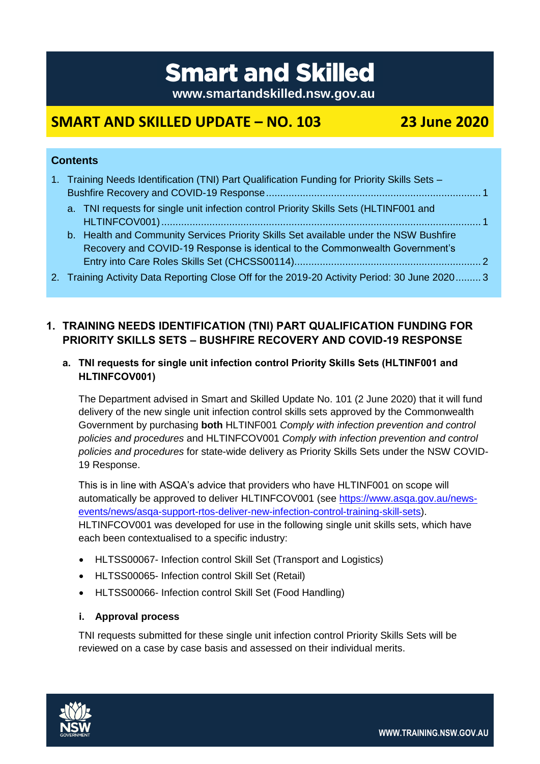# **Smart and Skilled**

**www.smartandskilled.nsw.gov.au**

## **SMART AND SKILLED UPDATE – NO. 103 23 June 2020**

#### **Contents**

| 1. Training Needs Identification (TNI) Part Qualification Funding for Priority Skills Sets -  |  |
|-----------------------------------------------------------------------------------------------|--|
| a. TNI requests for single unit infection control Priority Skills Sets (HLTINF001 and         |  |
|                                                                                               |  |
| b. Health and Community Services Priority Skills Set available under the NSW Bushfire         |  |
| Recovery and COVID-19 Response is identical to the Commonwealth Government's                  |  |
|                                                                                               |  |
| 2. Training Activity Data Reporting Close Off for the 2019-20 Activity Period: 30 June 2020 3 |  |

### <span id="page-0-0"></span>**1. TRAINING NEEDS IDENTIFICATION (TNI) PART QUALIFICATION FUNDING FOR PRIORITY SKILLS SETS – BUSHFIRE RECOVERY AND COVID-19 RESPONSE**

#### <span id="page-0-1"></span>**a. TNI requests for single unit infection control Priority Skills Sets (HLTINF001 and HLTINFCOV001)**

The Department advised in Smart and Skilled Update No. 101 (2 June 2020) that it will fund delivery of the new single unit infection control skills sets approved by the Commonwealth Government by purchasing **both** HLTINF001 *Comply with infection prevention and control policies and procedures* and HLTINFCOV001 *Comply with infection prevention and control policies and procedures* for state-wide delivery as Priority Skills Sets under the NSW COVID-19 Response.

This is in line with ASQA's advice that providers who have HLTINF001 on scope will automatically be approved to deliver HLTINFCOV001 (see [https://www.asqa.gov.au/news](https://www.asqa.gov.au/news-events/news/asqa-support-rtos-deliver-new-infection-control-training-skill-sets)[events/news/asqa-support-rtos-deliver-new-infection-control-training-skill-sets\)](https://www.asqa.gov.au/news-events/news/asqa-support-rtos-deliver-new-infection-control-training-skill-sets). HLTINFCOV001 was developed for use in the following single unit skills sets, which have each been contextualised to a specific industry:

- HLTSS00067- Infection control Skill Set (Transport and Logistics)
- HLTSS00065- Infection control Skill Set (Retail)
- HLTSS00066- Infection control Skill Set (Food Handling)

#### **i. Approval process**

TNI requests submitted for these single unit infection control Priority Skills Sets will be reviewed on a case by case basis and assessed on their individual merits.



**WWW.TRAINING.NSW.GOV.AU**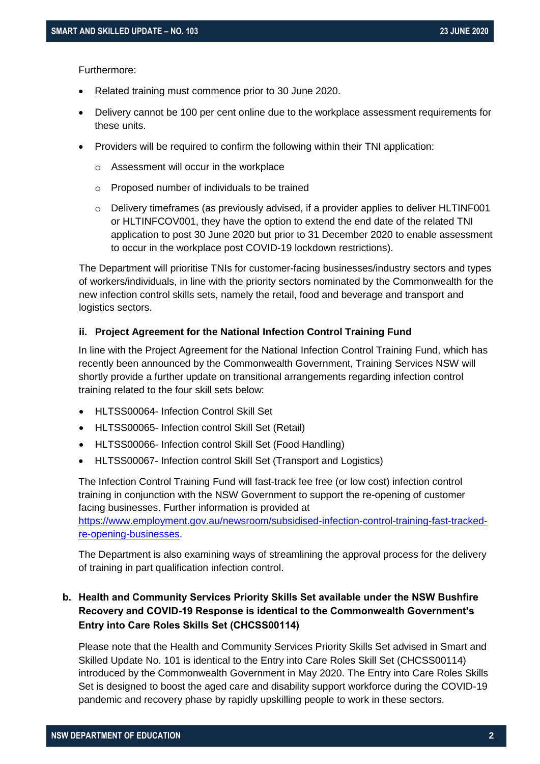Furthermore:

- Related training must commence prior to 30 June 2020.
- Delivery cannot be 100 per cent online due to the workplace assessment requirements for these units.
- Providers will be required to confirm the following within their TNI application:
	- o Assessment will occur in the workplace
	- o Proposed number of individuals to be trained
	- $\circ$  Delivery timeframes (as previously advised, if a provider applies to deliver HLTINF001 or HLTINFCOV001, they have the option to extend the end date of the related TNI application to post 30 June 2020 but prior to 31 December 2020 to enable assessment to occur in the workplace post COVID-19 lockdown restrictions).

The Department will prioritise TNIs for customer-facing businesses/industry sectors and types of workers/individuals, in line with the priority sectors nominated by the Commonwealth for the new infection control skills sets, namely the retail, food and beverage and transport and logistics sectors.

#### **ii. Project Agreement for the National Infection Control Training Fund**

In line with the Project Agreement for the National Infection Control Training Fund, which has recently been announced by the Commonwealth Government, Training Services NSW will shortly provide a further update on transitional arrangements regarding infection control training related to the four skill sets below:

- HLTSS00064- Infection Control Skill Set
- HLTSS00065- Infection control Skill Set (Retail)
- HLTSS00066- Infection control Skill Set (Food Handling)
- HLTSS00067- Infection control Skill Set (Transport and Logistics)

The Infection Control Training Fund will fast-track fee free (or low cost) infection control training in conjunction with the NSW Government to support the re-opening of customer facing businesses. Further information is provided at [https://www.employment.gov.au/newsroom/subsidised-infection-control-training-fast-tracked](https://www.employment.gov.au/newsroom/subsidised-infection-control-training-fast-tracked-re-opening-businesses)[re-opening-businesses.](https://www.employment.gov.au/newsroom/subsidised-infection-control-training-fast-tracked-re-opening-businesses)

The Department is also examining ways of streamlining the approval process for the delivery of training in part qualification infection control.

#### <span id="page-1-0"></span>**b. Health and Community Services Priority Skills Set available under the NSW Bushfire Recovery and COVID-19 Response is identical to the Commonwealth Government's Entry into Care Roles Skills Set (CHCSS00114)**

Please note that the Health and Community Services Priority Skills Set advised in Smart and Skilled Update No. 101 is identical to the Entry into Care Roles Skill Set (CHCSS00114) introduced by the Commonwealth Government in May 2020. The Entry into Care Roles Skills Set is designed to boost the aged care and disability support workforce during the COVID-19 pandemic and recovery phase by rapidly upskilling people to work in these sectors.